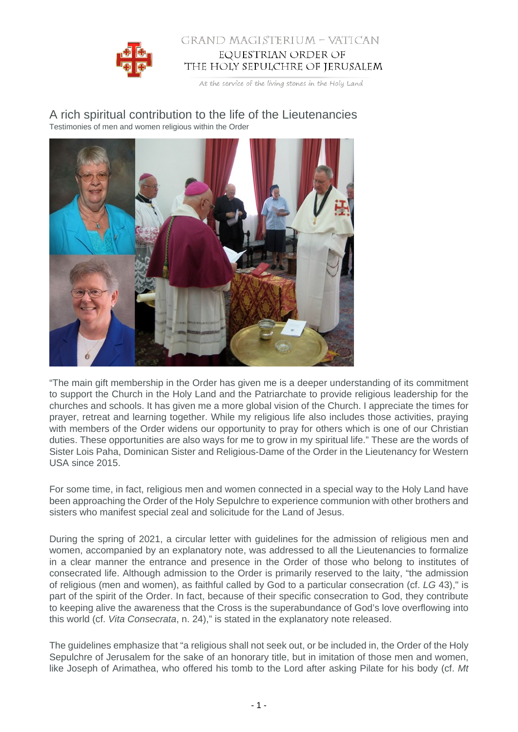

## GRAND MAGISTERIUM - VATICAN EQUESTRIAN ORDER OF THE HOLY SEPULCHRE OF JERUSALEM

At the service of the living stones in the Holy Land

## A rich spiritual contribution to the life of the Lieutenancies Testimonies of men and women religious within the Order



"The main gift membership in the Order has given me is a deeper understanding of its commitment to support the Church in the Holy Land and the Patriarchate to provide religious leadership for the churches and schools. It has given me a more global vision of the Church. I appreciate the times for prayer, retreat and learning together. While my religious life also includes those activities, praying with members of the Order widens our opportunity to pray for others which is one of our Christian duties. These opportunities are also ways for me to grow in my spiritual life." These are the words of Sister Lois Paha, Dominican Sister and Religious-Dame of the Order in the Lieutenancy for Western USA since 2015.

For some time, in fact, religious men and women connected in a special way to the Holy Land have been approaching the Order of the Holy Sepulchre to experience communion with other brothers and sisters who manifest special zeal and solicitude for the Land of Jesus.

During the spring of 2021, a circular letter with guidelines for the admission of religious men and women, accompanied by an explanatory note, was addressed to all the Lieutenancies to formalize in a clear manner the entrance and presence in the Order of those who belong to institutes of consecrated life. Although admission to the Order is primarily reserved to the laity, "the admission of religious (men and women), as faithful called by God to a particular consecration (cf. LG 43)," is part of the spirit of the Order. In fact, because of their specific consecration to God, they contribute to keeping alive the awareness that the Cross is the superabundance of God's love overflowing into this world (cf. Vita Consecrata, n. 24)," is stated in the explanatory note released.

The guidelines emphasize that "a religious shall not seek out, or be included in, the Order of the Holy Sepulchre of Jerusalem for the sake of an honorary title, but in imitation of those men and women, like Joseph of Arimathea, who offered his tomb to the Lord after asking Pilate for his body (cf.  $Mt$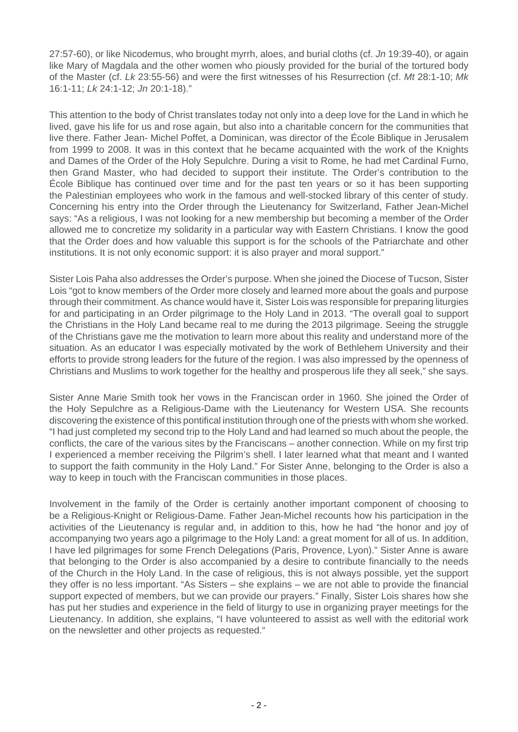27:57-60), or like Nicodemus, who brought myrrh, aloes, and burial cloths (cf. Jn 19:39-40), or again like Mary of Magdala and the other women who piously provided for the burial of the tortured body of the Master (cf. Lk 23:55-56) and were the first witnesses of his Resurrection (cf. Mt 28:1-10; Mk 16:1-11; Lk 24:1-12; Jn 20:1-18)."

This attention to the body of Christ translates today not only into a deep love for the Land in which he lived, gave his life for us and rose again, but also into a charitable concern for the communities that live there. Father Jean- Michel Poffet, a Dominican, was director of the École Biblique in Jerusalem from 1999 to 2008. It was in this context that he became acquainted with the work of the Knights and Dames of the Order of the Holy Sepulchre. During a visit to Rome, he had met Cardinal Furno, then Grand Master, who had decided to support their institute. The Order's contribution to the École Biblique has continued over time and for the past ten years or so it has been supporting the Palestinian employees who work in the famous and well-stocked library of this center of study. Concerning his entry into the Order through the Lieutenancy for Switzerland, Father Jean-Michel says: "As a religious, I was not looking for a new membership but becoming a member of the Order allowed me to concretize my solidarity in a particular way with Eastern Christians. I know the good that the Order does and how valuable this support is for the schools of the Patriarchate and other institutions. It is not only economic support: it is also prayer and moral support."

Sister Lois Paha also addresses the Order's purpose. When she joined the Diocese of Tucson, Sister Lois "got to know members of the Order more closely and learned more about the goals and purpose through their commitment. As chance would have it, Sister Lois was responsible for preparing liturgies for and participating in an Order pilgrimage to the Holy Land in 2013. "The overall goal to support the Christians in the Holy Land became real to me during the 2013 pilgrimage. Seeing the struggle of the Christians gave me the motivation to learn more about this reality and understand more of the situation. As an educator I was especially motivated by the work of Bethlehem University and their efforts to provide strong leaders for the future of the region. I was also impressed by the openness of Christians and Muslims to work together for the healthy and prosperous life they all seek," she says.

Sister Anne Marie Smith took her vows in the Franciscan order in 1960. She joined the Order of the Holy Sepulchre as a Religious-Dame with the Lieutenancy for Western USA. She recounts discovering the existence of this pontifical institution through one of the priests with whom she worked. "I had just completed my second trip to the Holy Land and had learned so much about the people, the conflicts, the care of the various sites by the Franciscans – another connection. While on my first trip I experienced a member receiving the Pilgrim's shell. I later learned what that meant and I wanted to support the faith community in the Holy Land." For Sister Anne, belonging to the Order is also a way to keep in touch with the Franciscan communities in those places.

Involvement in the family of the Order is certainly another important component of choosing to be a Religious-Knight or Religious-Dame. Father Jean-Michel recounts how his participation in the activities of the Lieutenancy is regular and, in addition to this, how he had "the honor and joy of accompanying two years ago a pilgrimage to the Holy Land: a great moment for all of us. In addition, I have led pilgrimages for some French Delegations (Paris, Provence, Lyon)." Sister Anne is aware that belonging to the Order is also accompanied by a desire to contribute financially to the needs of the Church in the Holy Land. In the case of religious, this is not always possible, yet the support they offer is no less important. "As Sisters – she explains – we are not able to provide the financial support expected of members, but we can provide our prayers." Finally, Sister Lois shares how she has put her studies and experience in the field of liturgy to use in organizing prayer meetings for the Lieutenancy. In addition, she explains, "I have volunteered to assist as well with the editorial work on the newsletter and other projects as requested."